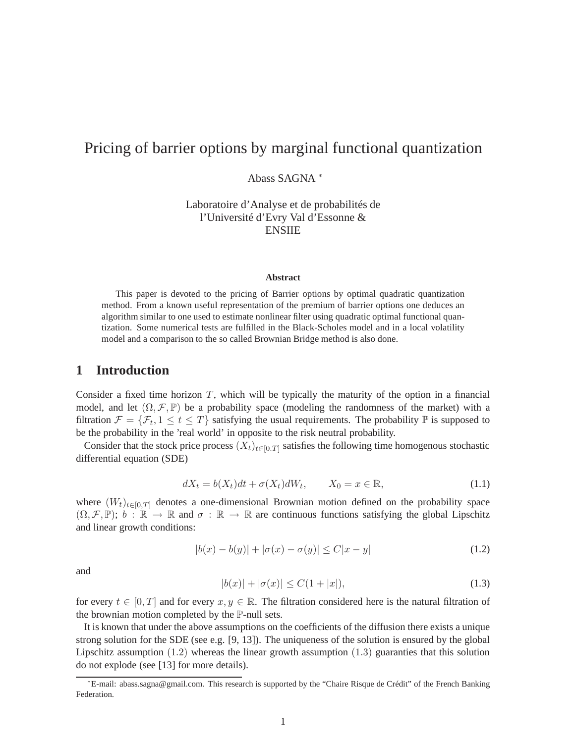# Pricing of barrier options by marginal functional quantization

Abass SAGNA <sup>∗</sup>

Laboratoire d'Analyse et de probabilités de l'Université d'Evry Val d'Essonne & ENSIIE

#### **Abstract**

This paper is devoted to the pricing of Barrier options by optimal quadratic quantization method. From a known useful representation of the premium of barrier options one deduces an algorithm similar to one used to estimate nonlinear filter using quadratic optimal functional quantization. Some numerical tests are fulfilled in the Black-Scholes model and in a local volatility model and a comparison to the so called Brownian Bridge method is also done.

### **1 Introduction**

Consider a fixed time horizon  $T$ , which will be typically the maturity of the option in a financial model, and let  $(\Omega, \mathcal{F}, \mathbb{P})$  be a probability space (modeling the randomness of the market) with a filtration  $\mathcal{F} = {\mathcal{F}_t, 1 \le t \le T}$  satisfying the usual requirements. The probability  $\mathbb{P}$  is supposed to be the probability in the 'real world' in opposite to the risk neutral probability.

Consider that the stock price process  $(X_t)_{t\in[0,T]}$  satisfies the following time homogenous stochastic differential equation (SDE)

$$
dX_t = b(X_t)dt + \sigma(X_t)dW_t, \qquad X_0 = x \in \mathbb{R}, \tag{1.1}
$$

where  $(W_t)_{t\in[0,T]}$  denotes a one-dimensional Brownian motion defined on the probability space  $(\Omega, \mathcal{F}, \mathbb{P})$ ;  $b : \mathbb{R} \to \mathbb{R}$  and  $\sigma : \mathbb{R} \to \mathbb{R}$  are continuous functions satisfying the global Lipschitz and linear growth conditions:

$$
|b(x) - b(y)| + |\sigma(x) - \sigma(y)| \le C|x - y|
$$
\n(1.2)

and

$$
|b(x)| + |\sigma(x)| \le C(1 + |x|),\tag{1.3}
$$

for every  $t \in [0, T]$  and for every  $x, y \in \mathbb{R}$ . The filtration considered here is the natural filtration of the brownian motion completed by the P-null sets.

It is known that under the above assumptions on the coefficients of the diffusion there exists a unique strong solution for the SDE (see e.g. [9, 13]). The uniqueness of the solution is ensured by the global Lipschitz assumption  $(1.2)$  whereas the linear growth assumption  $(1.3)$  guaranties that this solution do not explode (see [13] for more details).

<sup>∗</sup>E-mail: abass.sagna@gmail.com. This research is supported by the "Chaire Risque de Crédit" of the French Banking Federation.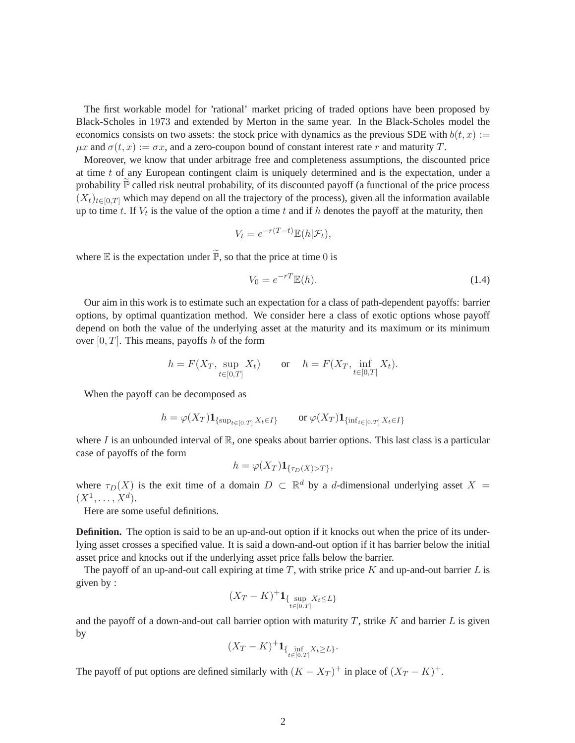The first workable model for 'rational' market pricing of traded options have been proposed by Black-Scholes in 1973 and extended by Merton in the same year. In the Black-Scholes model the economics consists on two assets: the stock price with dynamics as the previous SDE with  $b(t, x) :=$  $\mu x$  and  $\sigma(t, x) := \sigma x$ , and a zero-coupon bound of constant interest rate r and maturity T.

Moreover, we know that under arbitrage free and completeness assumptions, the discounted price at time  $t$  of any European contingent claim is uniquely determined and is the expectation, under a probability  $\mathbb P$  called risk neutral probability, of its discounted payoff (a functional of the price process  $(X_t)_{t\in[0,T]}$  which may depend on all the trajectory of the process), given all the information available up to time t. If  $V_t$  is the value of the option a time t and if h denotes the payoff at the maturity, then

$$
V_t = e^{-r(T-t)} \mathbb{E}(h|\mathcal{F}_t),
$$

where  $\mathbb E$  is the expectation under  $\widetilde{\mathbb P}$ , so that the price at time 0 is

$$
V_0 = e^{-rT} \mathbb{E}(h). \tag{1.4}
$$

Our aim in this work is to estimate such an expectation for a class of path-dependent payoffs: barrier options, by optimal quantization method. We consider here a class of exotic options whose payoff depend on both the value of the underlying asset at the maturity and its maximum or its minimum over  $[0, T]$ . This means, payoffs h of the form

$$
h = F(X_T, \sup_{t \in [0,T]} X_t)
$$
 or  $h = F(X_T, \inf_{t \in [0,T]} X_t)$ .

When the payoff can be decomposed as

$$
h = \varphi(X_T) \mathbf{1}_{\{\sup_{t \in [0,T]} X_t \in I\}} \qquad \text{or } \varphi(X_T) \mathbf{1}_{\{\inf_{t \in [0,T]} X_t \in I\}}
$$

where I is an unbounded interval of  $\mathbb{R}$ , one speaks about barrier options. This last class is a particular case of payoffs of the form

$$
h = \varphi(X_T) \mathbf{1}_{\{\tau_D(X) > T\}},
$$

where  $\tau_D(X)$  is the exit time of a domain  $D \subset \mathbb{R}^d$  by a d-dimensional underlying asset  $X =$  $(X^1, \ldots, X^d)$ .

Here are some useful definitions.

**Definition.** The option is said to be an up-and-out option if it knocks out when the price of its underlying asset crosses a specified value. It is said a down-and-out option if it has barrier below the initial asset price and knocks out if the underlying asset price falls below the barrier.

The payoff of an up-and-out call expiring at time  $T$ , with strike price  $K$  and up-and-out barrier  $L$  is given by :

$$
(X_T - K)^+ \mathbf{1}_{\{\sup_{t \in [0,T]} X_t \le L\}}
$$

and the payoff of a down-and-out call barrier option with maturity  $T$ , strike K and barrier L is given by

$$
(X_T - K)^+ \mathbf{1}_{\{\inf_{t \in [0,T]} X_t \ge L\}}.
$$

The payoff of put options are defined similarly with  $(K - X_T)^+$  in place of  $(X_T - K)^+$ .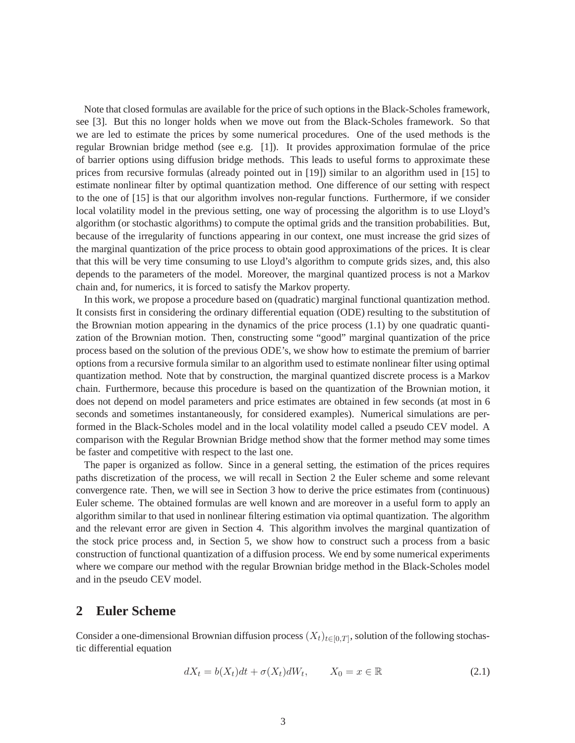Note that closed formulas are available for the price of such options in the Black-Scholes framework, see [3]. But this no longer holds when we move out from the Black-Scholes framework. So that we are led to estimate the prices by some numerical procedures. One of the used methods is the regular Brownian bridge method (see e.g. [1]). It provides approximation formulae of the price of barrier options using diffusion bridge methods. This leads to useful forms to approximate these prices from recursive formulas (already pointed out in [19]) similar to an algorithm used in [15] to estimate nonlinear filter by optimal quantization method. One difference of our setting with respect to the one of [15] is that our algorithm involves non-regular functions. Furthermore, if we consider local volatility model in the previous setting, one way of processing the algorithm is to use Lloyd's algorithm (or stochastic algorithms) to compute the optimal grids and the transition probabilities. But, because of the irregularity of functions appearing in our context, one must increase the grid sizes of the marginal quantization of the price process to obtain good approximations of the prices. It is clear that this will be very time consuming to use Lloyd's algorithm to compute grids sizes, and, this also depends to the parameters of the model. Moreover, the marginal quantized process is not a Markov chain and, for numerics, it is forced to satisfy the Markov property.

In this work, we propose a procedure based on (quadratic) marginal functional quantization method. It consists first in considering the ordinary differential equation (ODE) resulting to the substitution of the Brownian motion appearing in the dynamics of the price process (1.1) by one quadratic quantization of the Brownian motion. Then, constructing some "good" marginal quantization of the price process based on the solution of the previous ODE's, we show how to estimate the premium of barrier options from a recursive formula similar to an algorithm used to estimate nonlinear filter using optimal quantization method. Note that by construction, the marginal quantized discrete process is a Markov chain. Furthermore, because this procedure is based on the quantization of the Brownian motion, it does not depend on model parameters and price estimates are obtained in few seconds (at most in 6 seconds and sometimes instantaneously, for considered examples). Numerical simulations are performed in the Black-Scholes model and in the local volatility model called a pseudo CEV model. A comparison with the Regular Brownian Bridge method show that the former method may some times be faster and competitive with respect to the last one.

The paper is organized as follow. Since in a general setting, the estimation of the prices requires paths discretization of the process, we will recall in Section 2 the Euler scheme and some relevant convergence rate. Then, we will see in Section 3 how to derive the price estimates from (continuous) Euler scheme. The obtained formulas are well known and are moreover in a useful form to apply an algorithm similar to that used in nonlinear filtering estimation via optimal quantization. The algorithm and the relevant error are given in Section 4. This algorithm involves the marginal quantization of the stock price process and, in Section 5, we show how to construct such a process from a basic construction of functional quantization of a diffusion process. We end by some numerical experiments where we compare our method with the regular Brownian bridge method in the Black-Scholes model and in the pseudo CEV model.

### **2 Euler Scheme**

Consider a one-dimensional Brownian diffusion process  $(X_t)_{t\in[0,T]}$ , solution of the following stochastic differential equation

$$
dX_t = b(X_t)dt + \sigma(X_t)dW_t, \qquad X_0 = x \in \mathbb{R}
$$
\n(2.1)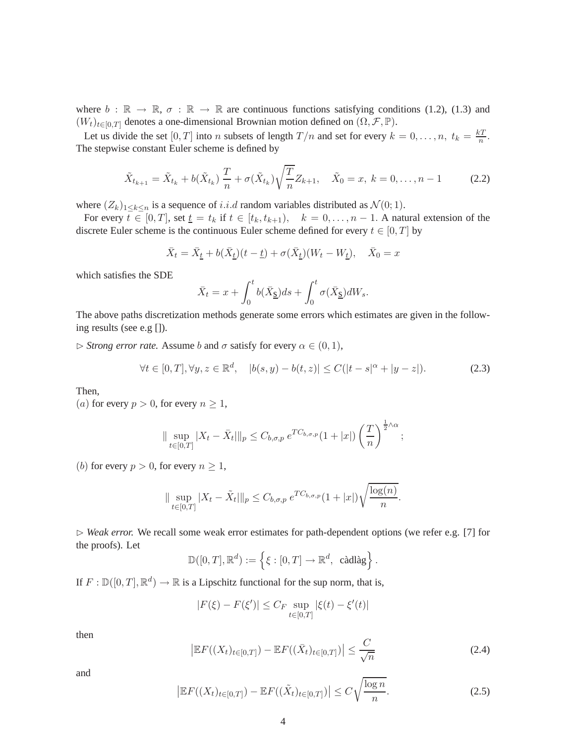where  $b : \mathbb{R} \to \mathbb{R}, \sigma : \mathbb{R} \to \mathbb{R}$  are continuous functions satisfying conditions (1.2), (1.3) and  $(W_t)_{t\in[0,T]}$  denotes a one-dimensional Brownian motion defined on  $(\Omega, \mathcal{F}, \mathbb{P})$ .

Let us divide the set  $[0, T]$  into n subsets of length  $T/n$  and set for every  $k = 0, \ldots, n$ ,  $t_k = \frac{kT}{n}$  $\frac{n}{n}$ . The stepwise constant Euler scheme is defined by

$$
\tilde{X}_{t_{k+1}} = \tilde{X}_{t_k} + b(\tilde{X}_{t_k}) \frac{T}{n} + \sigma(\tilde{X}_{t_k}) \sqrt{\frac{T}{n}} Z_{k+1}, \quad \tilde{X}_0 = x, \ k = 0, \dots, n-1 \tag{2.2}
$$

where  $(Z_k)_{1\leq k\leq n}$  is a sequence of *i.i.d* random variables distributed as  $\mathcal{N}(0; 1)$ .

For every  $t \in [0, T]$ , set  $t = t_k$  if  $t \in [t_k, t_{k+1}), \quad k = 0, \ldots, n-1$ . A natural extension of the discrete Euler scheme is the continuous Euler scheme defined for every  $t \in [0, T]$  by

$$
\bar{X}_t = \bar{X}_{\underline{t}} + b(\bar{X}_{\underline{t}})(t - \underline{t}) + \sigma(\bar{X}_{\underline{t}})(W_t - W_{\underline{t}}), \quad \bar{X}_0 = x
$$

which satisfies the SDE

$$
\bar{X}_t = x + \int_0^t b(\bar{X}_{\underline{S}})ds + \int_0^t \sigma(\bar{X}_{\underline{S}})dW_s.
$$

The above paths discretization methods generate some errors which estimates are given in the following results (see e.g []).

 $\triangleright$  *Strong error rate.* Assume b and  $\sigma$  satisfy for every  $\alpha \in (0, 1)$ ,

$$
\forall t \in [0, T], \forall y, z \in \mathbb{R}^d, \quad |b(s, y) - b(t, z)| \le C(|t - s|^\alpha + |y - z|). \tag{2.3}
$$

Then,

(*a*) for every  $p > 0$ , for every  $n \geq 1$ ,

$$
\|\sup_{t\in[0,T]}|X_t-\bar{X}_t|\|_p\leq C_{b,\sigma,p} e^{TC_{b,\sigma,p}}(1+|x|)\left(\frac{T}{n}\right)^{\frac{1}{2}\wedge\alpha};
$$

(b) for every  $p > 0$ , for every  $n \geq 1$ ,

$$
\| \sup_{t \in [0,T]} |X_t - \tilde{X}_t| \|_p \le C_{b,\sigma,p} \, e^{TC_{b,\sigma,p}} (1+|x|) \sqrt{\frac{\log(n)}{n}}.
$$

⊲ *Weak error.* We recall some weak error estimates for path-dependent options (we refer e.g. [7] for the proofs). Let

$$
\mathbb{D}([0,T],\mathbb{R}^d):=\left\{\xi:[0,T]\to\mathbb{R}^d, \text{ c\`adl\`ag}\right\}.
$$

If  $F : \mathbb{D}([0,T], \mathbb{R}^d) \to \mathbb{R}$  is a Lipschitz functional for the sup norm, that is,

$$
|F(\xi) - F(\xi')| \le C_F \sup_{t \in [0,T]} |\xi(t) - \xi'(t)|
$$

then

$$
\left| \mathbb{E} F((X_t)_{t \in [0,T]}) - \mathbb{E} F((\bar{X}_t)_{t \in [0,T]}) \right| \le \frac{C}{\sqrt{n}} \tag{2.4}
$$

and

$$
\left|\mathbb{E}F((X_t)_{t\in[0,T]}) - \mathbb{E}F((\tilde{X}_t)_{t\in[0,T]})\right| \le C\sqrt{\frac{\log n}{n}}.\tag{2.5}
$$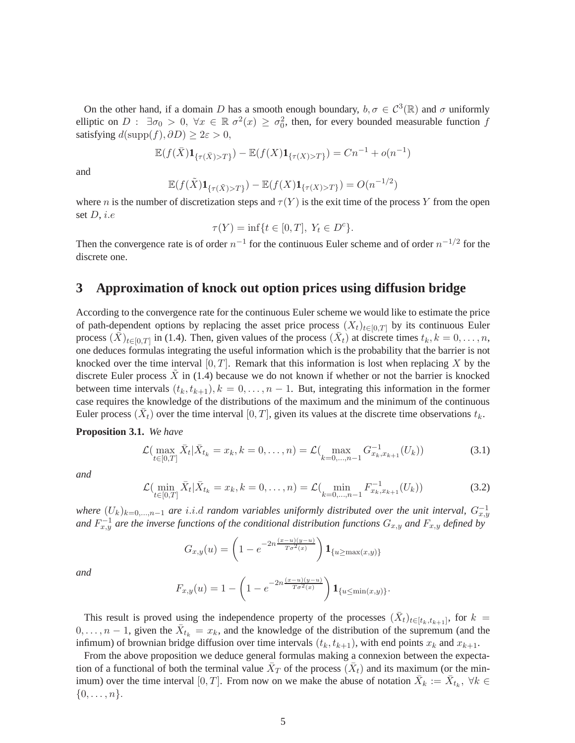On the other hand, if a domain D has a smooth enough boundary,  $b, \sigma \in C^3(\mathbb{R})$  and  $\sigma$  uniformly elliptic on  $D: \exists \sigma_0 > 0, \forall x \in \mathbb{R} \sigma^2(x) \geq \sigma_0^2$ , then, for every bounded measurable function f satisfying  $d(\text{supp}(f), \partial D) \geq 2\varepsilon > 0$ ,

$$
\mathbb{E}(f(\bar{X})\mathbf{1}_{\{\tau(\bar{X})>T\}})-\mathbb{E}(f(X)\mathbf{1}_{\{\tau(X)>T\}})=Cn^{-1}+o(n^{-1})
$$

and

$$
\mathbb{E}(f(\tilde{X})\mathbf{1}_{\{\tau(\tilde{X})>T\}})-\mathbb{E}(f(X)\mathbf{1}_{\{\tau(X)>T\}})=O(n^{-1/2})
$$

where n is the number of discretization steps and  $\tau(Y)$  is the exit time of the process Y from the open set  $D$ , *i.e* 

$$
\tau(Y) = \inf\{t \in [0, T], \ Y_t \in D^c\}.
$$

Then the convergence rate is of order  $n^{-1}$  for the continuous Euler scheme and of order  $n^{-1/2}$  for the discrete one.

### **3 Approximation of knock out option prices using diffusion bridge**

According to the convergence rate for the continuous Euler scheme we would like to estimate the price of path-dependent options by replacing the asset price process  $(X_t)_{t\in[0,T]}$  by its continuous Euler process  $(\bar{X})_{t\in[0,T]}$  in (1.4). Then, given values of the process  $(\bar{X}_t)$  at discrete times  $t_k, k = 0, \ldots, n$ , one deduces formulas integrating the useful information which is the probability that the barrier is not knocked over the time interval  $[0, T]$ . Remark that this information is lost when replacing X by the discrete Euler process  $\overline{X}$  in (1.4) because we do not known if whether or not the barrier is knocked between time intervals  $(t_k, t_{k+1}), k = 0, \ldots, n-1$ . But, integrating this information in the former case requires the knowledge of the distributions of the maximum and the minimum of the continuous Euler process  $(\bar{X}_t)$  over the time interval  $[0, T]$ , given its values at the discrete time observations  $t_k$ .

**Proposition 3.1.** *We have*

$$
\mathcal{L}(\max_{t \in [0,T]} \bar{X}_t | \bar{X}_{t_k} = x_k, k = 0, \dots, n) = \mathcal{L}(\max_{k=0,\dots,n-1} G_{x_k, x_{k+1}}^{-1}(U_k))
$$
(3.1)

*and*

$$
\mathcal{L}\left(\min_{t\in[0,T]}\bar{X}_t|\bar{X}_{t_k}=x_k, k=0,\ldots,n\right)=\mathcal{L}\left(\min_{k=0,\ldots,n-1}F_{x_k,x_{k+1}}^{-1}(U_k)\right) \tag{3.2}
$$

*where*  $(U_k)_{k=0,\dots,n-1}$  *are* i.i.d *random variables uniformly distributed over the unit interval,*  $G_{x,y}^{-1}$ and  $F_{x,y}^{-1}$  are the inverse functions of the conditional distribution functions  $G_{x,y}$  and  $F_{x,y}$  defined by

$$
G_{x,y}(u) = \left(1 - e^{-2n\frac{(x-u)(y-u)}{T\sigma^2(x)}}\right) \mathbf{1}_{\{u \ge \max(x,y)\}}
$$

*and*

$$
F_{x,y}(u) = 1 - \left(1 - e^{-2n\frac{(x-u)(y-u)}{T\sigma^2(x)}}\right) \mathbf{1}_{\{u \le \min(x,y)\}}.
$$

This result is proved using the independence property of the processes  $(\bar{X}_t)_{t\in [t_k,t_{k+1}]}$ , for  $k =$  $0, \ldots, n-1$ , given the  $\bar{X}_{t_k} = x_k$ , and the knowledge of the distribution of the supremum (and the infimum) of brownian bridge diffusion over time intervals  $(t_k, t_{k+1})$ , with end points  $x_k$  and  $x_{k+1}$ .

From the above proposition we deduce general formulas making a connexion between the expectation of a functional of both the terminal value  $\bar{X}_T$  of the process  $(\bar{X}_t)$  and its maximum (or the minimum) over the time interval [0, T]. From now on we make the abuse of notation  $\bar{X}_k := \bar{X}_{t_k}$ ,  $\forall k \in$  $\{0,\ldots,n\}.$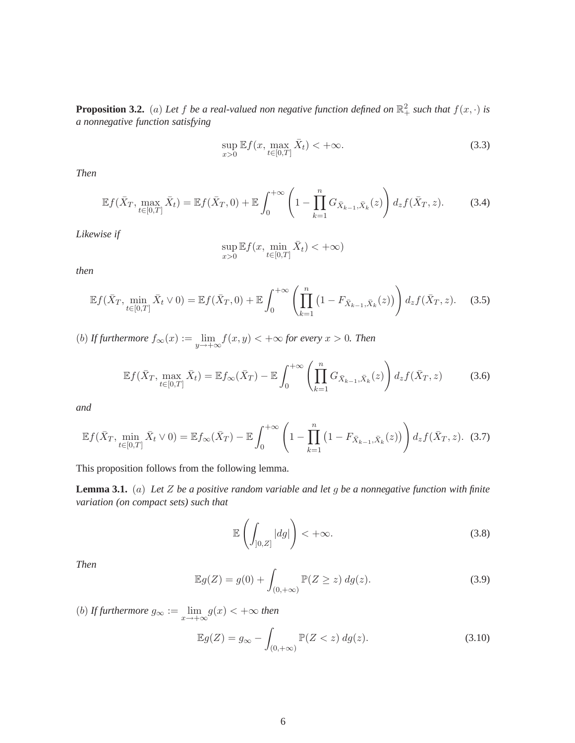**Proposition 3.2.** (a) Let f be a real-valued non negative function defined on  $\mathbb{R}^2_+$  such that  $f(x, \cdot)$  is *a nonnegative function satisfying*

$$
\sup_{x>0} \mathbb{E} f(x, \max_{t \in [0,T]} \bar{X}_t) < +\infty. \tag{3.3}
$$

*Then*

$$
\mathbb{E}f(\bar{X}_T, \max_{t \in [0,T]} \bar{X}_t) = \mathbb{E}f(\bar{X}_T, 0) + \mathbb{E}\int_0^{+\infty} \left(1 - \prod_{k=1}^n G_{\bar{X}_{k-1}, \bar{X}_k}(z)\right) d_z f(\bar{X}_T, z).
$$
 (3.4)

*Likewise if*

$$
\sup_{x>0}\mathbb{E} f(x,\min_{t\in[0,T]}\bar{X}_t)<+\infty)
$$

*then*

$$
\mathbb{E}f(\bar{X}_T, \min_{t \in [0,T]} \bar{X}_t \vee 0) = \mathbb{E}f(\bar{X}_T, 0) + \mathbb{E} \int_0^{+\infty} \left( \prod_{k=1}^n (1 - F_{\bar{X}_{k-1}, \bar{X}_k}(z)) \right) d_z f(\bar{X}_T, z).
$$
 (3.5)

(b) *If furthermore*  $f_{\infty}(x) := \lim_{y \to +\infty} f(x, y) < +\infty$  for every  $x > 0$ . Then

$$
\mathbb{E}f(\bar{X}_T, \max_{t \in [0,T]} \bar{X}_t) = \mathbb{E}f_{\infty}(\bar{X}_T) - \mathbb{E}\int_0^{+\infty} \left(\prod_{k=1}^n G_{\bar{X}_{k-1}, \bar{X}_k}(z)\right) d_z f(\bar{X}_T, z)
$$
(3.6)

*and*

$$
\mathbb{E}f(\bar{X}_T, \min_{t \in [0,T]} \bar{X}_t \vee 0) = \mathbb{E}f_{\infty}(\bar{X}_T) - \mathbb{E}\int_0^{+\infty} \left(1 - \prod_{k=1}^n \left(1 - F_{\bar{X}_{k-1}, \bar{X}_k}(z)\right)\right) d_z f(\bar{X}_T, z). \tag{3.7}
$$

This proposition follows from the following lemma.

**Lemma 3.1.** (a) *Let* Z *be a positive random variable and let* g *be a nonnegative function with finite variation (on compact sets) such that*

$$
\mathbb{E}\left(\int_{[0,Z]}|dg|\right)<+\infty.\tag{3.8}
$$

*Then*

$$
\mathbb{E}g(Z) = g(0) + \int_{(0, +\infty)} \mathbb{P}(Z \ge z) \, dg(z). \tag{3.9}
$$

(b) *If furthermore*  $g_{\infty} := \lim_{x \to +\infty} g(x) < +\infty$  *then* 

$$
\mathbb{E}g(Z) = g_{\infty} - \int_{(0, +\infty)} \mathbb{P}(Z < z) \, dg(z). \tag{3.10}
$$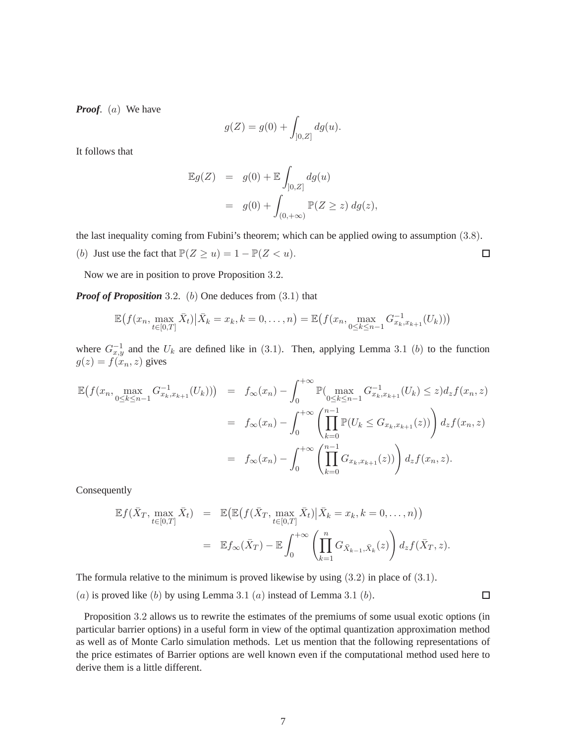*Proof.* (a) We have

$$
g(Z) = g(0) + \int_{]0,Z]} dg(u).
$$

It follows that

$$
\mathbb{E}g(Z) = g(0) + \mathbb{E} \int_{]0,Z]} dg(u)
$$
  
=  $g(0) + \int_{(0,+\infty)} \mathbb{P}(Z \ge z) dg(z),$ 

the last inequality coming from Fubini's theorem; which can be applied owing to assumption (3.8).

(b) Just use the fact that  $\mathbb{P}(Z \ge u) = 1 - \mathbb{P}(Z < u)$ .

Now we are in position to prove Proposition 3.2.

*Proof of Proposition* 3.2*.* (b) One deduces from (3.1) that

$$
\mathbb{E}\big(f(x_n, \max_{t\in[0,T]}\bar{X}_t)\big|\bar{X}_k=x_k, k=0,\ldots,n\big)=\mathbb{E}\big(f(x_n, \max_{0\leq k\leq n-1}G_{x_k,x_{k+1}}^{-1}(U_k))\big)
$$

where  $G_{x,y}^{-1}$  and the  $U_k$  are defined like in (3.1). Then, applying Lemma 3.1 (b) to the function  $g(z) = f(x_n, z)$  gives

$$
\mathbb{E}\left(f(x_n, \max_{0 \le k \le n-1} G_{x_k, x_{k+1}}^{-1}(U_k))\right) = f_{\infty}(x_n) - \int_0^{+\infty} \mathbb{P}(\max_{0 \le k \le n-1} G_{x_k, x_{k+1}}^{-1}(U_k) \le z) d_z f(x_n, z)
$$
  
\n
$$
= f_{\infty}(x_n) - \int_0^{+\infty} \left(\prod_{k=0}^{n-1} \mathbb{P}(U_k \le G_{x_k, x_{k+1}}(z))\right) d_z f(x_n, z)
$$
  
\n
$$
= f_{\infty}(x_n) - \int_0^{+\infty} \left(\prod_{k=0}^{n-1} G_{x_k, x_{k+1}}(z)\right) d_z f(x_n, z).
$$

Consequently

$$
\mathbb{E}f(\bar{X}_T, \max_{t \in [0,T]} \bar{X}_t) = \mathbb{E}\big(\mathbb{E}\big(f(\bar{X}_T, \max_{t \in [0,T]} \bar{X}_t)\big|\bar{X}_k = x_k, k = 0, \dots, n\big)\big) \n= \mathbb{E}f_{\infty}(\bar{X}_T) - \mathbb{E}\int_0^{+\infty} \left(\prod_{k=1}^n G_{\bar{X}_{k-1}, \bar{X}_k}(z)\right) d_z f(\bar{X}_T, z).
$$

The formula relative to the minimum is proved likewise by using (3.2) in place of (3.1).

(a) is proved like (b) by using Lemma 3.1 (a) instead of Lemma 3.1 (b).

 $\Box$ 

 $\Box$ 

Proposition 3.2 allows us to rewrite the estimates of the premiums of some usual exotic options (in particular barrier options) in a useful form in view of the optimal quantization approximation method as well as of Monte Carlo simulation methods. Let us mention that the following representations of the price estimates of Barrier options are well known even if the computational method used here to derive them is a little different.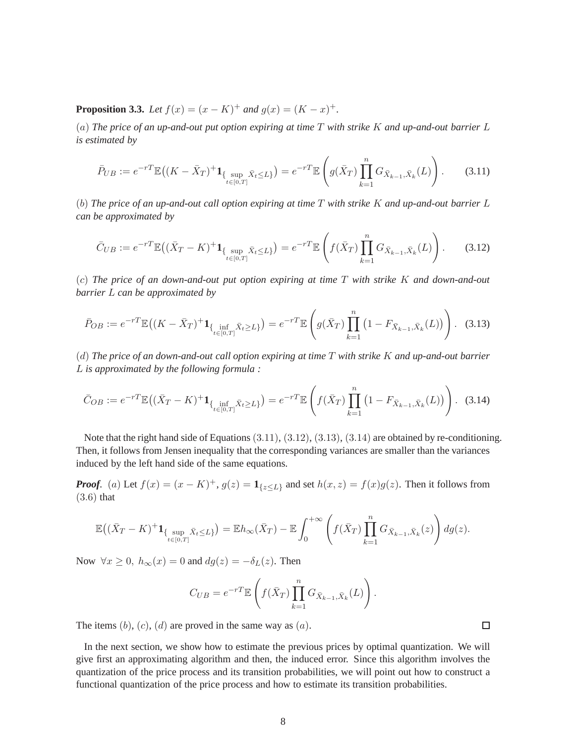**Proposition 3.3.** *Let*  $f(x) = (x - K)^+$  *and*  $g(x) = (K - x)^+$ *.* 

(a) *The price of an up-and-out put option expiring at time* T *with strike* K *and up-and-out barrier* L *is estimated by*

$$
\bar{P}_{UB} := e^{-rT} \mathbb{E}\left( (K - \bar{X}_T)^+ \mathbf{1}_{\{\sup_{t \in [0,T]} \bar{X}_t \le L\}} \right) = e^{-rT} \mathbb{E}\left( g(\bar{X}_T) \prod_{k=1}^n G_{\bar{X}_{k-1}, \bar{X}_k}(L) \right). \tag{3.11}
$$

(b) *The price of an up-and-out call option expiring at time* T *with strike* K *and up-and-out barrier* L *can be approximated by*

$$
\bar{C}_{UB} := e^{-rT} \mathbb{E} \left( (\bar{X}_T - K)^+ \mathbf{1}_{\{\sup_{t \in [0,T]} \bar{X}_t \le L\}} \right) = e^{-rT} \mathbb{E} \left( f(\bar{X}_T) \prod_{k=1}^n G_{\bar{X}_{k-1}, \bar{X}_k}(L) \right). \tag{3.12}
$$

(c) *The price of an down-and-out put option expiring at time* T *with strike* K *and down-and-out barrier* L *can be approximated by*

$$
\bar{P}_{OB} := e^{-rT} \mathbb{E}\left( (K - \bar{X}_T)^+ \mathbf{1}_{\{\inf_{t \in [0,T]} \bar{X}_t \ge L\}} \right) = e^{-rT} \mathbb{E}\left( g(\bar{X}_T) \prod_{k=1}^n \left( 1 - F_{\bar{X}_{k-1}, \bar{X}_k}(L) \right) \right). \tag{3.13}
$$

(d) *The price of an down-and-out call option expiring at time* T *with strike* K *and up-and-out barrier* L *is approximated by the following formula :*

$$
\bar{C}_{OB} := e^{-rT} \mathbb{E}\left( (\bar{X}_T - K)^+ \mathbf{1}_{\{\inf_{t \in [0,T]} \bar{X}_t \ge L\}} \right) = e^{-rT} \mathbb{E}\left( f(\bar{X}_T) \prod_{k=1}^n \left( 1 - F_{\bar{X}_{k-1}, \bar{X}_k}(L) \right) \right). \tag{3.14}
$$

Note that the right hand side of Equations  $(3.11), (3.12), (3.13), (3.14)$  are obtained by re-conditioning. Then, it follows from Jensen inequality that the corresponding variances are smaller than the variances induced by the left hand side of the same equations.

*Proof.* (a) Let  $f(x) = (x - K)^+$ ,  $g(z) = \mathbf{1}_{\{z \le L\}}$  and set  $h(x, z) = f(x)g(z)$ . Then it follows from (3.6) that

$$
\mathbb{E}\big((\bar{X}_T - K)^+ \mathbf{1}_{\{\sup_{t \in [0,T]} \bar{X}_t \le L\}}\big) = \mathbb{E}h_{\infty}(\bar{X}_T) - \mathbb{E}\int_0^{+\infty} \left(f(\bar{X}_T) \prod_{k=1}^n G_{\bar{X}_{k-1}, \bar{X}_k}(z)\right) dg(z).
$$

Now  $\forall x \geq 0$ ,  $h_{\infty}(x) = 0$  and  $dg(z) = -\delta_L(z)$ . Then

$$
C_{UB} = e^{-rT} \mathbb{E}\left(f(\bar{X}_T) \prod_{k=1}^n G_{\bar{X}_{k-1}, \bar{X}_k}(L)\right).
$$

The items  $(b)$ ,  $(c)$ ,  $(d)$  are proved in the same way as  $(a)$ .

In the next section, we show how to estimate the previous prices by optimal quantization. We will give first an approximating algorithm and then, the induced error. Since this algorithm involves the quantization of the price process and its transition probabilities, we will point out how to construct a functional quantization of the price process and how to estimate its transition probabilities.

 $\Box$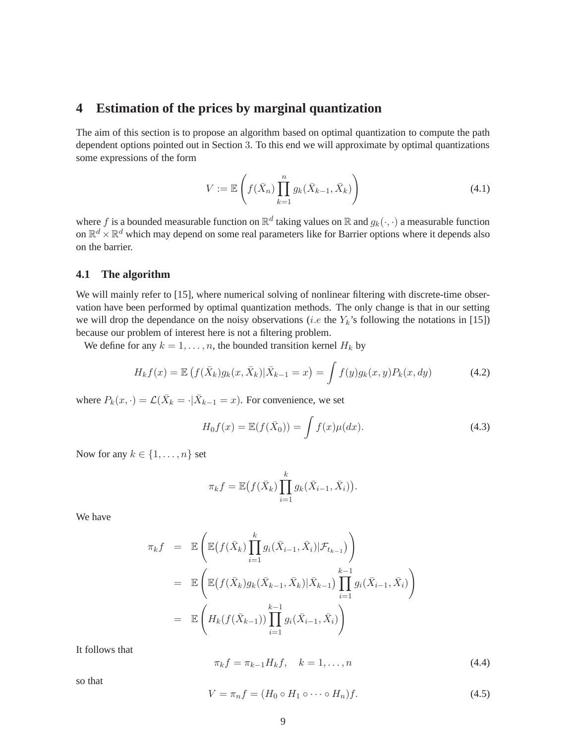### **4 Estimation of the prices by marginal quantization**

The aim of this section is to propose an algorithm based on optimal quantization to compute the path dependent options pointed out in Section 3. To this end we will approximate by optimal quantizations some expressions of the form

$$
V := \mathbb{E}\left(f(\bar{X}_n)\prod_{k=1}^n g_k(\bar{X}_{k-1}, \bar{X}_k)\right)
$$
\n(4.1)

where f is a bounded measurable function on  $\mathbb{R}^d$  taking values on  $\mathbb{R}$  and  $g_k(\cdot, \cdot)$  a measurable function on  $\mathbb{R}^d \times \mathbb{R}^d$  which may depend on some real parameters like for Barrier options where it depends also on the barrier.

### **4.1 The algorithm**

We will mainly refer to [15], where numerical solving of nonlinear filtering with discrete-time observation have been performed by optimal quantization methods. The only change is that in our setting we will drop the dependance on the noisy observations (*i.e* the  $Y_k$ 's following the notations in [15]) because our problem of interest here is not a filtering problem.

We define for any  $k = 1, \ldots, n$ , the bounded transition kernel  $H_k$  by

$$
H_k f(x) = \mathbb{E} \left( f(\bar{X}_k) g_k(x, \bar{X}_k) | \bar{X}_{k-1} = x \right) = \int f(y) g_k(x, y) P_k(x, dy) \tag{4.2}
$$

where  $P_k(x, \cdot) = \mathcal{L}(\bar{X}_k = \cdot | \bar{X}_{k-1} = x)$ . For convenience, we set

$$
H_0 f(x) = \mathbb{E}(f(\bar{X}_0)) = \int f(x)\mu(dx).
$$
\n(4.3)

Now for any  $k \in \{1, \ldots, n\}$  set

$$
\pi_k f = \mathbb{E}\big(f(\bar{X}_k)\prod_{i=1}^k g_k(\bar{X}_{i-1}, \bar{X}_i)\big).
$$

We have

$$
\pi_k f = \mathbb{E}\left(\mathbb{E}\left(f(\bar{X}_k)\prod_{i=1}^k g_i(\bar{X}_{i-1}, \bar{X}_i)|\mathcal{F}_{t_{k-1}}\right)\right)
$$
  
\n
$$
= \mathbb{E}\left(\mathbb{E}\left(f(\bar{X}_k)g_k(\bar{X}_{k-1}, \bar{X}_k)|\bar{X}_{k-1}\right)\prod_{i=1}^{k-1} g_i(\bar{X}_{i-1}, \bar{X}_i)\right)
$$
  
\n
$$
= \mathbb{E}\left(H_k(f(\bar{X}_{k-1}))\prod_{i=1}^{k-1} g_i(\bar{X}_{i-1}, \bar{X}_i)\right)
$$

It follows that

$$
\pi_k f = \pi_{k-1} H_k f, \quad k = 1, \dots, n \tag{4.4}
$$

so that

$$
V = \pi_n f = (H_0 \circ H_1 \circ \cdots \circ H_n) f. \tag{4.5}
$$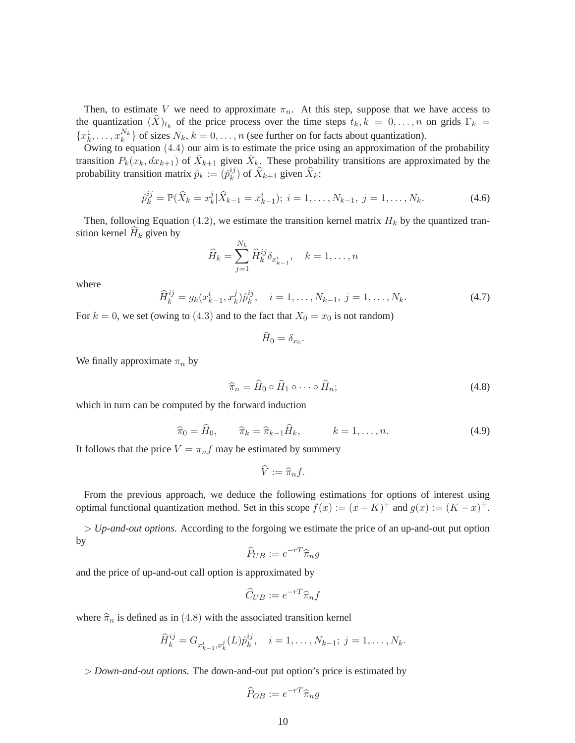Then, to estimate V we need to approximate  $\pi_n$ . At this step, suppose that we have access to the quantization  $(X)_{t_k}$  of the price process over the time steps  $t_k, k = 0, \ldots, n$  on grids  $\Gamma_k =$  $\{x_k^1, \ldots, x_k^{N_k}\}$  of sizes  $N_k$ ,  $k = 0, \ldots, n$  (see further on for facts about quantization).

Owing to equation (4.4) our aim is to estimate the price using an approximation of the probability transition  $P_k(x_k, dx_{k+1})$  of  $\bar{X}_{k+1}$  given  $\bar{X}_k$ . These probability transitions are approximated by the probability transition matrix  $\hat{p}_k := (\hat{p}_k^{ij})$  $k^{ij}$ ) of  $X_{k+1}$  given  $X_k$ :

$$
\hat{p}_k^{ij} = \mathbb{P}(\hat{X}_k = x_k^j | \hat{X}_{k-1} = x_{k-1}^i); \ i = 1, \dots, N_{k-1}, \ j = 1, \dots, N_k.
$$
\n(4.6)

Then, following Equation (4.2), we estimate the transition kernel matrix  $H_k$  by the quantized transition kernel  $H_k$  given by

$$
\widehat{H}_k = \sum_{j=1}^{N_k} \widehat{H}_k^{ij} \delta_{x_{k-1}^i}, \quad k = 1, \dots, n
$$

where

$$
\widehat{H}_k^{ij} = g_k(x_{k-1}^i, x_k^j) \widehat{p}_k^{ij}, \quad i = 1, \dots, N_{k-1}, \ j = 1, \dots, N_k.
$$
\n(4.7)

For  $k = 0$ , we set (owing to (4.3) and to the fact that  $X_0 = x_0$  is not random)

$$
H_0=\delta_{x_0}.
$$

We finally approximate  $\pi_n$  by

$$
\widehat{\pi}_n = \widehat{H}_0 \circ \widehat{H}_1 \circ \cdots \circ \widehat{H}_n; \tag{4.8}
$$

which in turn can be computed by the forward induction

$$
\widehat{\pi}_0 = \widehat{H}_0, \qquad \widehat{\pi}_k = \widehat{\pi}_{k-1} \widehat{H}_k, \qquad k = 1, \dots, n. \tag{4.9}
$$

It follows that the price  $V = \pi_n f$  may be estimated by summery

$$
\hat{V} := \hat{\pi}_n f.
$$

From the previous approach, we deduce the following estimations for options of interest using optimal functional quantization method. Set in this scope  $f(x) := (x - K)^+$  and  $g(x) := (K - x)^+$ .

⊲ *Up-and-out options.* According to the forgoing we estimate the price of an up-and-out put option by

$$
\widehat{P}_{UB} := e^{-rT} \widehat{\pi}_n g
$$

and the price of up-and-out call option is approximated by

$$
\widehat{C}_{UB} := e^{-rT} \widehat{\pi}_n f
$$

where  $\hat{\pi}_n$  is defined as in (4.8) with the associated transition kernel

$$
\widehat{H}_k^{ij} = G_{x_{k-1}^i, x_k^j}(L)\widehat{p}_k^{ij}, \quad i = 1, \dots, N_{k-1}; \ j = 1, \dots, N_k.
$$

⊲ *Down-and-out options.* The down-and-out put option's price is estimated by

$$
\widehat{P}_{OB} := e^{-rT}\widehat{\pi}_n g
$$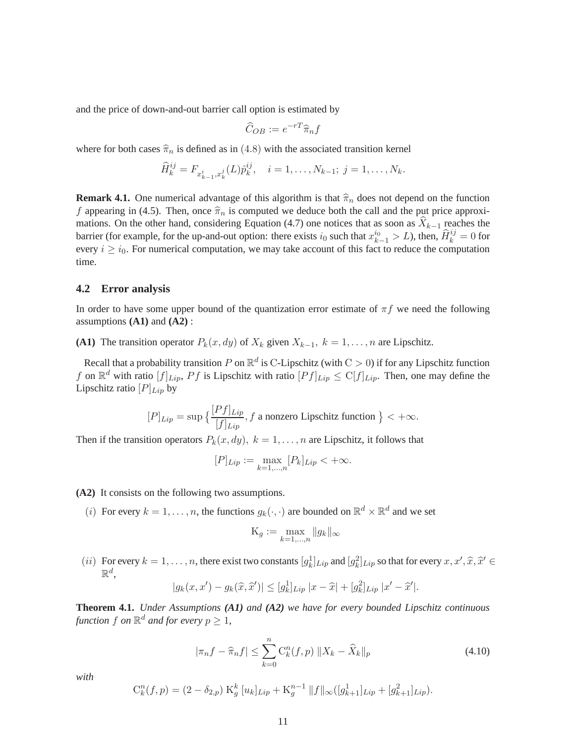and the price of down-and-out barrier call option is estimated by

$$
\widehat{C}_{OB} := e^{-rT} \widehat{\pi}_n f
$$

where for both cases  $\hat{\pi}_n$  is defined as in (4.8) with the associated transition kernel

$$
\widehat{H}_k^{ij} = F_{x_{k-1}^i, x_k^j}(L)\widehat{p}_k^{ij}, \quad i = 1, \dots, N_{k-1}; \ j = 1, \dots, N_k.
$$

**Remark 4.1.** One numerical advantage of this algorithm is that  $\hat{\pi}_n$  does not depend on the function f appearing in (4.5). Then, once  $\hat{\pi}_n$  is computed we deduce both the call and the put price approximations. On the other hand, considering Equation (4.7) one notices that as soon as  $X_{k-1}$  reaches the barrier (for example, for the up-and-out option: there exists  $i_0$  such that  $x_{k-1}^{i_0} > L$ ), then,  $\widehat{H}_k^{i_0} = 0$  for every  $i \geq i_0$ . For numerical computation, we may take account of this fact to reduce the computation time.

### **4.2 Error analysis**

In order to have some upper bound of the quantization error estimate of  $\pi f$  we need the following assumptions **(A1)** and **(A2)** :

**(A1)** The transition operator  $P_k(x, dy)$  of  $X_k$  given  $X_{k-1}$ ,  $k = 1, \ldots, n$  are Lipschitz.

Recall that a probability transition P on  $\mathbb{R}^d$  is C-Lipschitz (with  $C > 0$ ) if for any Lipschitz function f on  $\mathbb{R}^d$  with ratio  $[f]_{Lip}$ ,  $Pf$  is Lipschitz with ratio  $[Pf]_{Lip} \le C[f]_{Lip}$ . Then, one may define the Lipschitz ratio  $[P]_{Lip}$  by

$$
[P]_{Lip} = \sup \left\{ \frac{[Pf]_{Lip}}{[f]_{Lip}}, f \text{ a nonzero Lipschitz function} \right\} < +\infty.
$$

Then if the transition operators  $P_k(x, dy)$ ,  $k = 1, \ldots, n$  are Lipschitz, it follows that

$$
[P]_{Lip} := \max_{k=1,...,n} [P_k]_{Lip} < +\infty.
$$

**(A2)** It consists on the following two assumptions.

(*i*) For every  $k = 1, ..., n$ , the functions  $g_k(\cdot, \cdot)$  are bounded on  $\mathbb{R}^d \times \mathbb{R}^d$  and we set

$$
\mathcal{K}_g := \max_{k=1,\dots,n} \|g_k\|_{\infty}
$$

(*ii*) For every  $k = 1, \ldots, n$ , there exist two constants  $[g_k^1]_{Lip}$  and  $[g_k^2]_{Lip}$  so that for every  $x, x', \hat{x}, \hat{x}' \in \mathbb{R}^d$  $\mathbb{R}^d$ ,

$$
|g_k(x, x') - g_k(\widehat{x}, \widehat{x}')| \le [g_k^1]_{Lip} |x - \widehat{x}| + [g_k^2]_{Lip} |x' - \widehat{x}'|.
$$

**Theorem 4.1.** *Under Assumptions (A1) and (A2) we have for every bounded Lipschitz continuous* function  $f$  on  $\mathbb{R}^d$  and for every  $p \geq 1$ ,

$$
|\pi_n f - \widehat{\pi}_n f| \le \sum_{k=0}^n C_k^n(f, p) \|X_k - \widehat{X}_k\|_p
$$
\n(4.10)

*with*

$$
C_k^n(f, p) = (2 - \delta_{2,p}) K_g^k [u_k]_{Lip} + K_g^{n-1} ||f||_{\infty} ([g_{k+1}^1]_{Lip} + [g_{k+1}^2]_{Lip}).
$$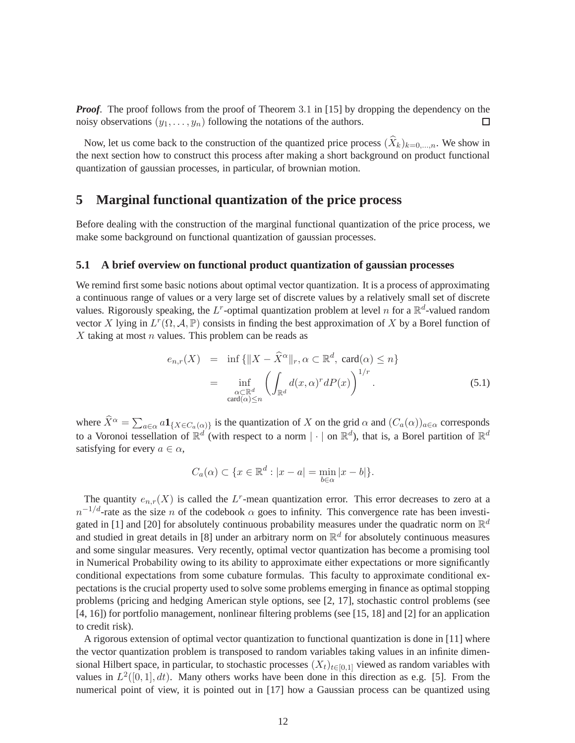*Proof.* The proof follows from the proof of Theorem 3.1 in [15] by dropping the dependency on the noisy observations  $(y_1, \ldots, y_n)$  following the notations of the authors.  $\Box$ 

Now, let us come back to the construction of the quantized price process  $(X_k)_{k=0,\dots,n}$ . We show in the next section how to construct this process after making a short background on product functional quantization of gaussian processes, in particular, of brownian motion.

### **5 Marginal functional quantization of the price process**

Before dealing with the construction of the marginal functional quantization of the price process, we make some background on functional quantization of gaussian processes.

### **5.1 A brief overview on functional product quantization of gaussian processes**

We remind first some basic notions about optimal vector quantization. It is a process of approximating a continuous range of values or a very large set of discrete values by a relatively small set of discrete values. Rigorously speaking, the L<sup>r</sup>-optimal quantization problem at level n for a  $\mathbb{R}^d$ -valued random vector X lying in  $L^r(\Omega, \mathcal{A}, \mathbb{P})$  consists in finding the best approximation of X by a Borel function of  $X$  taking at most  $n$  values. This problem can be reads as

$$
e_{n,r}(X) = \inf \{ \|X - \widehat{X}^{\alpha}\|_{r}, \alpha \subset \mathbb{R}^{d}, \operatorname{card}(\alpha) \leq n \}
$$
  

$$
= \inf_{\substack{\alpha \subset \mathbb{R}^{d} \\ \operatorname{card}(\alpha) \leq n}} \left( \int_{\mathbb{R}^{d}} d(x, \alpha)^{r} dP(x) \right)^{1/r} . \tag{5.1}
$$

where  $\widehat{X}^{\alpha} = \sum_{a \in \alpha} a \mathbf{1}_{\{X \in C_a(\alpha)\}}$  is the quantization of X on the grid  $\alpha$  and  $(C_a(\alpha))_{a \in \alpha}$  corresponds to a Voronoi tessellation of  $\mathbb{R}^d$  (with respect to a norm  $|\cdot|$  on  $\mathbb{R}^d$ ), that is, a Borel partition of  $\mathbb{R}^d$ satisfying for every  $a \in \alpha$ ,

$$
C_a(\alpha) \subset \{x \in \mathbb{R}^d : |x - a| = \min_{b \in \alpha} |x - b|\}.
$$

The quantity  $e_{n,r}(X)$  is called the L<sup>r</sup>-mean quantization error. This error decreases to zero at a  $n^{-1/d}$ -rate as the size n of the codebook  $\alpha$  goes to infinity. This convergence rate has been investigated in [1] and [20] for absolutely continuous probability measures under the quadratic norm on  $\mathbb{R}^d$ and studied in great details in [8] under an arbitrary norm on  $\mathbb{R}^d$  for absolutely continuous measures and some singular measures. Very recently, optimal vector quantization has become a promising tool in Numerical Probability owing to its ability to approximate either expectations or more significantly conditional expectations from some cubature formulas. This faculty to approximate conditional expectations is the crucial property used to solve some problems emerging in finance as optimal stopping problems (pricing and hedging American style options, see [2, 17], stochastic control problems (see [4, 16]) for portfolio management, nonlinear filtering problems (see [15, 18] and [2] for an application to credit risk).

A rigorous extension of optimal vector quantization to functional quantization is done in [11] where the vector quantization problem is transposed to random variables taking values in an infinite dimensional Hilbert space, in particular, to stochastic processes  $(X_t)_{t\in[0,1]}$  viewed as random variables with values in  $L^2([0,1], dt)$ . Many others works have been done in this direction as e.g. [5]. From the numerical point of view, it is pointed out in [17] how a Gaussian process can be quantized using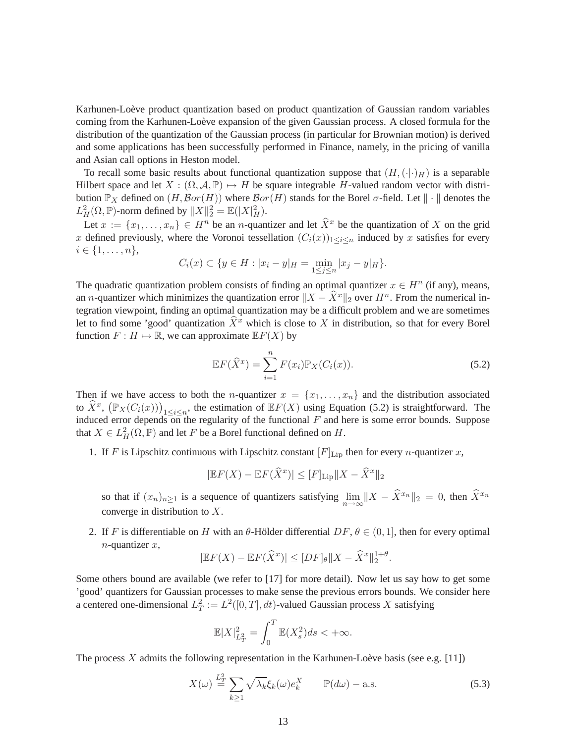Karhunen-Loève product quantization based on product quantization of Gaussian random variables coming from the Karhunen-Loève expansion of the given Gaussian process. A closed formula for the distribution of the quantization of the Gaussian process (in particular for Brownian motion) is derived and some applications has been successfully performed in Finance, namely, in the pricing of vanilla and Asian call options in Heston model.

To recall some basic results about functional quantization suppose that  $(H, (\cdot | \cdot)_H)$  is a separable Hilbert space and let  $X : (\Omega, \mathcal{A}, \mathbb{P}) \mapsto H$  be square integrable H-valued random vector with distribution  $\mathbb{P}_X$  defined on  $(H, \mathcal{B}or(H))$  where  $\mathcal{B}or(H)$  stands for the Borel  $\sigma$ -field. Let  $\|\cdot\|$  denotes the  $L_H^2(\Omega, \mathbb{P})$ -norm defined by  $||X||_2^2 = \mathbb{E}(|X|_H^2)$ .

Let  $x := \{x_1, \ldots, x_n\} \in H^n$  be an *n*-quantizer and let  $\widehat{X}^x$  be the quantization of X on the grid x defined previously, where the Voronoi tessellation  $(C_i(x))_{1\leq i\leq n}$  induced by x satisfies for every  $i \in \{1, \ldots, n\},\$ 

$$
C_i(x) \subset \{ y \in H : |x_i - y|_H = \min_{1 \le j \le n} |x_j - y|_H \}.
$$

The quadratic quantization problem consists of finding an optimal quantizer  $x \in H^n$  (if any), means, an *n*-quantizer which minimizes the quantization error  $||X - \hat{X}^x||_2$  over  $H^n$ . From the numerical integration viewpoint, finding an optimal quantization may be a difficult problem and we are sometimes let to find some 'good' quantization  $\hat{X}^x$  which is close to X in distribution, so that for every Borel function  $F : H \mapsto \mathbb{R}$ , we can approximate  $\mathbb{E}F(X)$  by

$$
\mathbb{E}F(\widehat{X}^x) = \sum_{i=1}^n F(x_i) \mathbb{P}_X(C_i(x)).
$$
\n(5.2)

Then if we have access to both the *n*-quantizer  $x = \{x_1, \ldots, x_n\}$  and the distribution associated to  $\hat{X}^x$ ,  $(\mathbb{P}_X(C_i(x)))_{1 \leq i \leq n}$ , the estimation of  $\mathbb{E}F(X)$  using Equation (5.2) is straightforward. The induced error depends on the regularity of the functional F and here is some error bounds. Suppose induced error depends on the regularity of the functional F and here is some error bounds. Suppose that  $X \in L^2_H(\Omega, \mathbb{P})$  and let F be a Borel functional defined on H.

1. If F is Lipschitz continuous with Lipschitz constant  $[F]_{\text{Lip}}$  then for every *n*-quantizer *x*,

$$
|\mathbb{E}F(X) - \mathbb{E}F(\widehat{X}^x)| \leq [F]_{\text{Lip}} ||X - \widehat{X}^x||_2
$$

so that if  $(x_n)_{n\geq 1}$  is a sequence of quantizers satisfying  $\lim_{n\to\infty} ||X - \hat{X}^{x_n}||_2 = 0$ , then  $\hat{X}^{x_n}$ converge in distribution to X.

2. If F is differentiable on H with an  $\theta$ -Hölder differential  $DF, \theta \in (0, 1]$ , then for every optimal  $n$ -quantizer  $x$ ,

$$
|\mathbb{E}F(X) - \mathbb{E}F(\widehat{X}^x)| \le |DF|_{\theta} ||X - \widehat{X}^x||_2^{1+\theta}.
$$

Some others bound are available (we refer to [17] for more detail). Now let us say how to get some 'good' quantizers for Gaussian processes to make sense the previous errors bounds. We consider here a centered one-dimensional  $L^2_T := L^2([0,T], dt)$ -valued Gaussian process X satisfying

$$
\mathbb{E}|X|_{L^2_T}^2 = \int_0^T \mathbb{E}(X_s^2)ds < +\infty.
$$

The process X admits the following representation in the Karhunen-Loève basis (see e.g.  $[11]$ )

$$
X(\omega) \stackrel{L_T^2}{=} \sum_{k \ge 1} \sqrt{\lambda_k} \xi_k(\omega) e_k^X \qquad \mathbb{P}(d\omega) - \text{a.s.}
$$
 (5.3)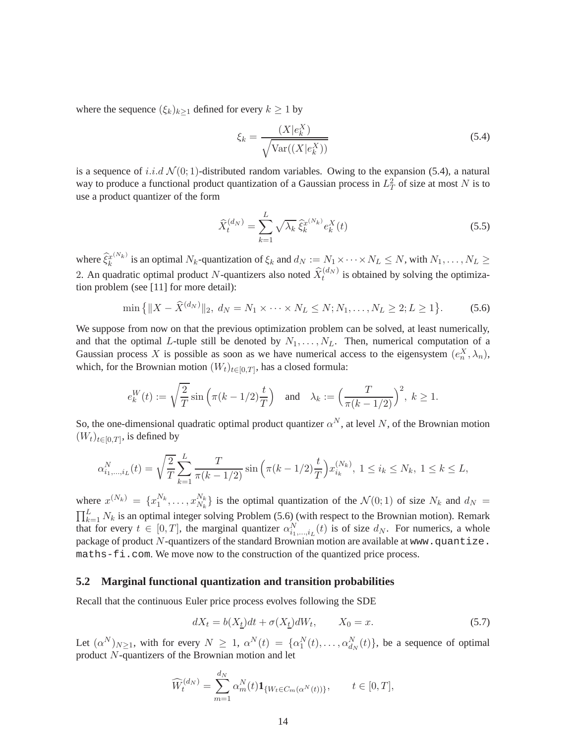where the sequence  $(\xi_k)_{k>1}$  defined for every  $k \geq 1$  by

$$
\xi_k = \frac{(X|e_k^X)}{\sqrt{\text{Var}((X|e_k^X))}}
$$
\n(5.4)

is a sequence of i.i.d  $\mathcal{N}(0; 1)$ -distributed random variables. Owing to the expansion (5.4), a natural way to produce a functional product quantization of a Gaussian process in  $L_T^2$  of size at most N is to use a product quantizer of the form

$$
\widehat{X}_t^{(d_N)} = \sum_{k=1}^L \sqrt{\lambda_k} \,\widehat{\xi}_k^{x^{(N_k)}} e_k^X(t) \tag{5.5}
$$

where  $\widehat{\xi}_k^{x^{(N_k)}}$  $k_k^{x^{(N_k)}}$  is an optimal  $N_k$ -quantization of  $\xi_k$  and  $d_N := N_1 \times \cdots \times N_L \leq N$ , with  $N_1, \ldots, N_L \geq$ 2. An quadratic optimal product N-quantizers also noted  $\widehat{X}_t^{(d_N)}$  is obtained by solving the optimization problem (see [11] for more detail):

$$
\min\left\{\|X - \widehat{X}^{(d_N)}\|_2, \ d_N = N_1 \times \dots \times N_L \le N; N_1, \dots, N_L \ge 2; L \ge 1\right\}.
$$
\n(5.6)

We suppose from now on that the previous optimization problem can be solved, at least numerically, and that the optimal L-tuple still be denoted by  $N_1, \ldots, N_L$ . Then, numerical computation of a Gaussian process X is possible as soon as we have numerical access to the eigensystem  $(e_n^X, \lambda_n)$ , which, for the Brownian motion  $(W_t)_{t \in [0,T]}$ , has a closed formula:

$$
e_k^W(t) := \sqrt{\frac{2}{T}} \sin\left(\pi (k - 1/2) \frac{t}{T}\right) \quad \text{and} \quad \lambda_k := \left(\frac{T}{\pi (k - 1/2)}\right)^2, \ k \ge 1.
$$

So, the one-dimensional quadratic optimal product quantizer  $\alpha^N$ , at level N, of the Brownian motion  $(W_t)_{t \in [0,T]}$ , is defined by

$$
\alpha_{i_1,\dots,i_L}^N(t) = \sqrt{\frac{2}{T}} \sum_{k=1}^L \frac{T}{\pi(k-1/2)} \sin\left(\pi(k-1/2)\frac{t}{T}\right) x_{i_k}^{(N_k)}, 1 \le i_k \le N_k, 1 \le k \le L,
$$

where  $x^{(N_k)} = \{x_1^{N_k}, \ldots, x_{N_k}^{N_k}\}$  $N_k \n\}$  is the optimal quantization of the  $\mathcal{N}(0,1)$  of size  $N_k$  and  $d_N =$  $\prod_{k=1}^{L} N_k$  is an optimal integer solving Problem (5.6) (with respect to the Brownian motion). Remark that for every  $t \in [0, T]$ , the marginal quantizer  $\alpha_{i_1,\dots,i_L}^N(t)$  is of size  $d_N$ . For numerics, a whole package of product  $N$ -quantizers of the standard Brownian motion are available at www.quantize. maths-fi.com. We move now to the construction of the quantized price process.

### **5.2 Marginal functional quantization and transition probabilities**

Recall that the continuous Euler price process evolves following the SDE

$$
dX_t = b(X_t)dt + \sigma(X_t)dW_t, \qquad X_0 = x. \tag{5.7}
$$

Let  $(\alpha^N)_{N\geq 1}$ , with for every  $N \geq 1$ ,  $\alpha^N(t) = {\alpha_1^N(t), \dots, \alpha_{d_N}^N(t)}$ , be a sequence of optimal product N-quantizers of the Brownian motion and let

$$
\widehat{W}_t^{(d_N)} = \sum_{m=1}^{d_N} \alpha_m^N(t) \mathbf{1}_{\{W_t \in C_m(\alpha^N(t))\}}, \qquad t \in [0, T],
$$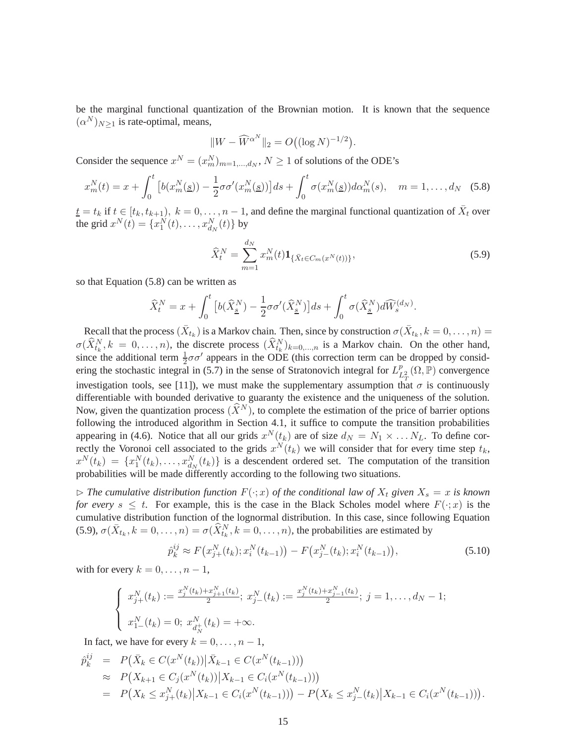be the marginal functional quantization of the Brownian motion. It is known that the sequence  $(\alpha^N)_{N\geq 1}$  is rate-optimal, means,

$$
||W - \widehat{W}^{\alpha^N}||_2 = O((\log N)^{-1/2}).
$$

Consider the sequence  $x^N = (x_m^N)_{m=1,\dots,d_N}$ ,  $N \ge 1$  of solutions of the ODE's

$$
x_m^N(t) = x + \int_0^t \left[ b(x_m^N(\underline{s})) - \frac{1}{2}\sigma \sigma'(x_m^N(\underline{s})) \right] ds + \int_0^t \sigma(x_m^N(\underline{s})) d\alpha_m^N(s), \quad m = 1, \dots, d_N \quad (5.8)
$$

 $\underline{t} = t_k$  if  $t \in [t_k, t_{k+1}), k = 0, \ldots, n-1$ , and define the marginal functional quantization of  $\overline{X}_t$  over the grid  $x^{N}(t) = \{x_{1}^{N}(t), \ldots, x_{d_{N}}^{N}(t)\}$  by

$$
\widehat{X}_t^N = \sum_{m=1}^{d_N} x_m^N(t) \mathbf{1}_{\{\bar{X}_t \in C_m(x^N(t))\}},\tag{5.9}
$$

so that Equation (5.8) can be written as

$$
\widehat{X}_t^N = x + \int_0^t \left[ b(\widehat{X}_{\underline{s}}^N) - \frac{1}{2} \sigma \sigma'(\widehat{X}_{\underline{s}}^N) \right] ds + \int_0^t \sigma(\widehat{X}_{\underline{s}}^N) d\widehat{W}_s^{(d_N)}.
$$

Recall that the process  $(\bar{X}_{t_k})$  is a Markov chain. Then, since by construction  $\sigma(\bar{X}_{t_k}, k=0,\ldots,n)$  $\sigma(\widehat{X}_{t_k}^N, k = 0, \ldots, n)$ , the discrete process  $(\widehat{X}_{t_k}^N)_{k=0,\ldots,n}$  is a Markov chain. On the other hand, since the additional term  $\frac{1}{2}\sigma\sigma'$  appears in the ODE (this correction term can be dropped by considering the stochastic integral in (5.7) in the sense of Stratonovich integral for  $L<sub>I</sub><sup>p</sup>$  $L^p_{\Gamma}(\Omega,\mathbb{P})$  convergence investigation tools, see [11]), we must make the supplementary assumption that  $\sigma$  is continuously differentiable with bounded derivative to guaranty the existence and the uniqueness of the solution. Now, given the quantization process  $(\widehat{X}^N)$ , to complete the estimation of the price of barrier options following the introduced algorithm in Section 4.1, it suffice to compute the transition probabilities appearing in (4.6). Notice that all our grids  $x^N(t_k)$  are of size  $d_N = N_1 \times \ldots N_L$ . To define correctly the Voronoi cell associated to the grids  $x^N(t_k)$  we will consider that for every time step  $t_k$ ,  $x^N(t_k) = \{x_1^N(t_k), \dots, x_{d_N}^N(t_k)\}\$ is a descendent ordered set. The computation of the transition probabilities will be made differently according to the following two situations.

 $\triangleright$  *The cumulative distribution function*  $F(\cdot; x)$  *of the conditional law of*  $X_t$  *given*  $X_s = x$  *is known for every*  $s \leq t$ . For example, this is the case in the Black Scholes model where  $F(\cdot; x)$  is the cumulative distribution function of the lognormal distribution. In this case, since following Equation (5.9),  $\sigma(\bar{X}_{t_k}, k=0,\ldots,n) = \sigma(\widehat{X}_{t_k}^N, k=0,\ldots,n)$ , the probabilities are estimated by

$$
\hat{p}_k^{ij} \approx F\big(x_{j+}^N(t_k); x_i^N(t_{k-1})\big) - F\big(x_{j-}^N(t_k); x_i^N(t_{k-1})\big),\tag{5.10}
$$

with for every  $k = 0, \ldots, n - 1$ ,

$$
\begin{cases}\nx_j^N(t_k) := \frac{x_j^N(t_k) + x_{j+1}^N(t_k)}{2}; \ x_j^N(t_k) := \frac{x_j^N(t_k) + x_{j-1}^N(t_k)}{2}; \ j = 1, \dots, d_N - 1; \\
x_{1-}^N(t_k) = 0; \ x_{d_N}^N(t_k) = +\infty.\n\end{cases}
$$

In fact, we have for every  $k = 0, \ldots, n - 1$ ,

$$
\begin{split}\n\hat{p}_{k}^{ij} &= P\big(\bar{X}_{k} \in C(x^{N}(t_{k})) \big| \bar{X}_{k-1} \in C(x^{N}(t_{k-1}))\big) \\
&\approx P\big(X_{k+1} \in C_{j}(x^{N}(t_{k})) \big| X_{k-1} \in C_{i}(x^{N}(t_{k-1}))\big) \\
&= P\big(X_{k} \leq x_{j+}^{N}(t_{k}) \big| X_{k-1} \in C_{i}(x^{N}(t_{k-1}))\big) - P\big(X_{k} \leq x_{j-}^{N}(t_{k}) \big| X_{k-1} \in C_{i}(x^{N}(t_{k-1}))\big).\n\end{split}
$$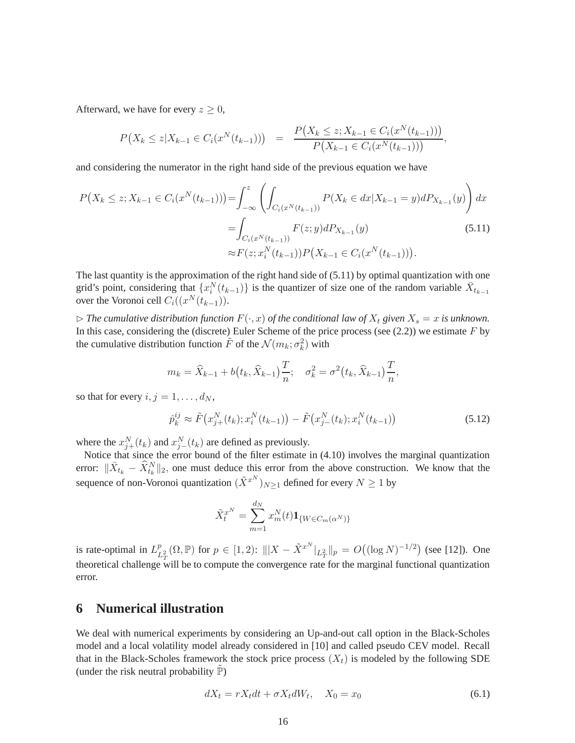Afterward, we have for every  $z \geq 0$ ,

$$
P(X_k \leq z | X_{k-1} \in C_i(x^N(t_{k-1}))) = \frac{P(X_k \leq z; X_{k-1} \in C_i(x^N(t_{k-1})))}{P(X_{k-1} \in C_i(x^N(t_{k-1})))},
$$

and considering the numerator in the right hand side of the previous equation we have

$$
P(X_k \le z; X_{k-1} \in C_i(x^N(t_{k-1}))) = \int_{-\infty}^z \left( \int_{C_i(x^N(t_{k-1}))} P(X_k \in dx | X_{k-1} = y) dP_{X_{k-1}}(y) \right) dx
$$

$$
= \int_{C_i(x^N(t_{k-1}))} F(z; y) dP_{X_{k-1}}(y) \tag{5.11}
$$

$$
\approx F(z; x_i^N(t_{k-1})) P(X_{k-1} \in C_i(x^N(t_{k-1}))).
$$

The last quantity is the approximation of the right hand side of (5.11) by optimal quantization with one grid's point, considering that  $\{x_i^N(t_{k-1})\}$  is the quantizer of size one of the random variable  $\bar{X}_{t_{k-1}}$ over the Voronoi cell  $C_i((x^N(t_{k-1})).$ 

 $\triangleright$  *The cumulative distribution function*  $F(\cdot, x)$  *of the conditional law of*  $X_t$  *given*  $X_s = x$  *is unknown.* In this case, considering the (discrete) Euler Scheme of the price process (see  $(2.2)$ ) we estimate  $F$  by the cumulative distribution function  $\tilde{F}$  of the  $\mathcal{N}(m_k; \sigma_k^2)$  with

$$
m_k = \widehat{X}_{k-1} + b(t_k, \widehat{X}_{k-1})\frac{T}{n}; \quad \sigma_k^2 = \sigma^2(t_k, \widehat{X}_{k-1})\frac{T}{n},
$$

so that for every  $i, j = 1, \ldots, d_N$ ,

$$
\hat{p}_k^{ij} \approx \tilde{F}\big(x_{j+}^N(t_k); x_i^N(t_{k-1})\big) - \tilde{F}\big(x_{j-}^N(t_k); x_i^N(t_{k-1})\big) \tag{5.12}
$$

where the  $x_{j+}^{N}(t_k)$  and  $x_{j-}^{N}(t_k)$  are defined as previously.

Notice that since the error bound of the filter estimate in (4.10) involves the marginal quantization error:  $\|\bar{X}_{t_k} - \hat{X}_{t_k}^N\|_2$ , one must deduce this error from the above construction. We know that the sequence of non-Voronoi quantization  $(\tilde{X}^{xN})_{N\geq 1}$  defined for every  $N\geq 1$  by

$$
\tilde{X}_t^{x^N} = \sum_{m=1}^{d_N} x_m^N(t) \mathbf{1}_{\{W \in C_m(\alpha^N)\}}
$$

is rate-optimal in  $L^p_I$  $L^p_{\mathcal{L}^2}(\Omega,\mathbb{P})$  for  $p \in [1,2)$ :  $|||X - \tilde{X}^{x^N}|_{L^2_{\mathcal{L}}}||_p = O((\log N)^{-1/2})$  (see [12]). One theoretical challenge will be to compute the convergence rate for the marginal functional quantization error.

### **6 Numerical illustration**

We deal with numerical experiments by considering an Up-and-out call option in the Black-Scholes model and a local volatility model already considered in [10] and called pseudo CEV model. Recall that in the Black-Scholes framework the stock price process  $(X_t)$  is modeled by the following SDE (under the risk neutral probability  $\mathbb{P}$ )

$$
dX_t = rX_t dt + \sigma X_t dW_t, \quad X_0 = x_0 \tag{6.1}
$$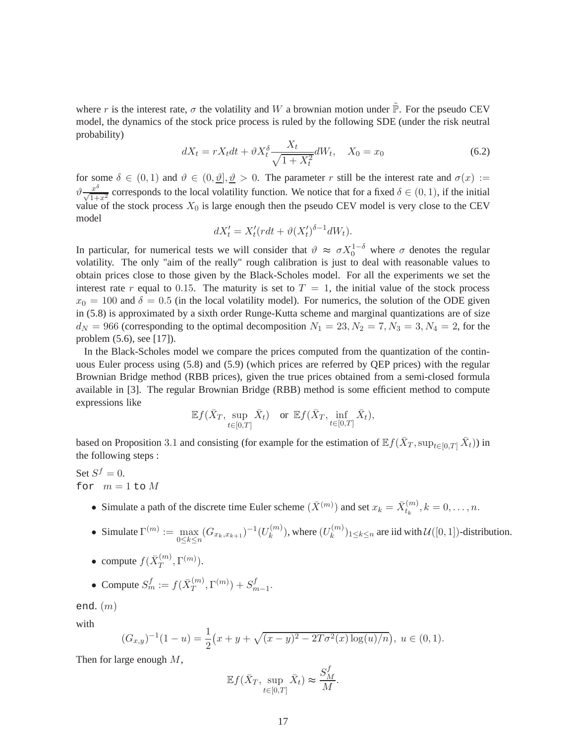where r is the interest rate,  $\sigma$  the volatility and W a brownian motion under  $\tilde{\mathbb{P}}$ . For the pseudo CEV model, the dynamics of the stock price process is ruled by the following SDE (under the risk neutral probability)

$$
dX_t = rX_t dt + \vartheta X_t^{\delta} \frac{X_t}{\sqrt{1 + X_t^2}} dW_t, \quad X_0 = x_0
$$
\n
$$
(6.2)
$$

for some  $\delta \in (0,1)$  and  $\vartheta \in (0,\vartheta], \vartheta > 0$ . The parameter r still be the interest rate and  $\sigma(x) :=$  $\vartheta \frac{x^{\delta}}{\sqrt{1+x^2}}$  corresponds to the local volatility function. We notice that for a fixed  $\delta \in (0,1)$ , if the initial  $\sqrt{1+x^2}$  corresponds to the focal voltating ranction. We notice that for a fixed  $\sigma \in (0, 1)$ , if the finitum value of the stock process  $X_0$  is large enough then the pseudo CEV model is very close to the CEV model

$$
dX'_t = X'_t (rdt + \vartheta (X'_t)^{\delta - 1} dW_t).
$$

In particular, for numerical tests we will consider that  $\vartheta \approx \sigma X_0^{1-\delta}$  where  $\sigma$  denotes the regular volatility. The only "aim of the really" rough calibration is just to deal with reasonable values to obtain prices close to those given by the Black-Scholes model. For all the experiments we set the interest rate r equal to 0.15. The maturity is set to  $T = 1$ , the initial value of the stock process  $x_0 = 100$  and  $\delta = 0.5$  (in the local volatility model). For numerics, the solution of the ODE given in (5.8) is approximated by a sixth order Runge-Kutta scheme and marginal quantizations are of size  $d_N = 966$  (corresponding to the optimal decomposition  $N_1 = 23, N_2 = 7, N_3 = 3, N_4 = 2$ , for the problem (5.6), see [17]).

In the Black-Scholes model we compare the prices computed from the quantization of the continuous Euler process using (5.8) and (5.9) (which prices are referred by QEP prices) with the regular Brownian Bridge method (RBB prices), given the true prices obtained from a semi-closed formula available in [3]. The regular Brownian Bridge (RBB) method is some efficient method to compute expressions like

$$
\mathbb{E} f(\bar{X}_T, \sup_{t \in [0,T]} \bar{X}_t) \quad \text{or } \mathbb{E} f(\bar{X}_T, \inf_{t \in [0,T]} \bar{X}_t),
$$

based on Proposition 3.1 and consisting (for example for the estimation of  $\mathbb{E} f(\bar{X}_T, \sup_{t\in[0,T]}\bar{X}_t)$ ) in the following steps :

Set  $S^f = 0$ . for  $m = 1$  to  $M$ 

- Simulate a path of the discrete time Euler scheme  $(\bar{X}^{(m)})$  and set  $x_k = \bar{X}_{t_k}^{(m)}$  $t_k^{(m)}, k = 0, \ldots, n.$
- Simulate  $\Gamma^{(m)} := \max_{0 \le k \le n}$  $\max_{0 \leq k \leq n} (G_{x_k, x_{k+1}})^{-1} (U_k^{(m)})$  $\binom{m}{k}$ , where  $(U_k^{(m)})$  $(k^{(m)})_{1\leq k\leq n}$  are iid with  $\mathcal{U}([0,1])$ -distribution.
- compute  $f(\bar{X}_T^{(m)})$  $T^{(m)},\Gamma^{(m)}).$

• Compute 
$$
S_m^f := f(\bar{X}_T^{(m)}, \Gamma^{(m)}) + S_{m-1}^f
$$
.

end.  $(m)$ 

with

$$
(G_{x,y})^{-1}(1-u) = \frac{1}{2}(x+y+\sqrt{(x-y)^2-2T\sigma^2(x)\log(u)/n}), \ u \in (0,1).
$$

Then for large enough M,

$$
\mathbb{E} f(\bar{X}_T, \sup_{t \in [0,T]} \bar{X}_t) \approx \frac{S_M^f}{M}.
$$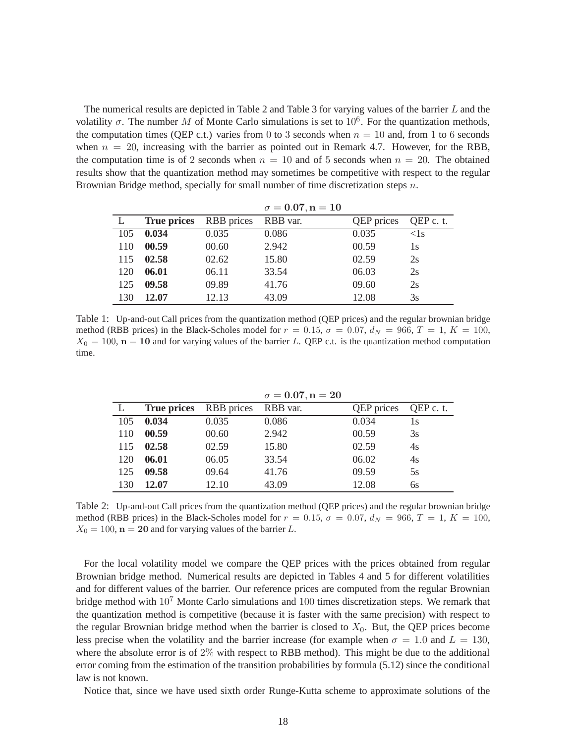The numerical results are depicted in Table 2 and Table 3 for varying values of the barrier L and the volatility  $\sigma$ . The number M of Monte Carlo simulations is set to 10<sup>6</sup>. For the quantization methods, the computation times (QEP c.t.) varies from 0 to 3 seconds when  $n = 10$  and, from 1 to 6 seconds when  $n = 20$ , increasing with the barrier as pointed out in Remark 4.7. However, for the RBB, the computation time is of 2 seconds when  $n = 10$  and of 5 seconds when  $n = 20$ . The obtained results show that the quantization method may sometimes be competitive with respect to the regular Brownian Bridge method, specially for small number of time discretization steps n.

|     |                    |            | $\sigma = 0.07, n = 10$ |                   |              |
|-----|--------------------|------------|-------------------------|-------------------|--------------|
|     | <b>True prices</b> | RBB prices | RBB var.                | <b>QEP</b> prices | QEP c. t.    |
| 105 | 0.034              | 0.035      | 0.086                   | 0.035             | $\langle$ 1s |
| 110 | 00.59              | 00.60      | 2.942                   | 00.59             | 1s           |
| 115 | 02.58              | 02.62      | 15.80                   | 02.59             | 2s           |
| 120 | 06.01              | 06.11      | 33.54                   | 06.03             | 2s           |
| 125 | 09.58              | 09.89      | 41.76                   | 09.60             | 2s           |
| 130 | 12.07              | 12.13      | 43.09                   | 12.08             | 3s           |

Table 1: Up-and-out Call prices from the quantization method (QEP prices) and the regular brownian bridge method (RBB prices) in the Black-Scholes model for  $r = 0.15$ ,  $\sigma = 0.07$ ,  $d_N = 966$ ,  $T = 1$ ,  $K = 100$ ,  $X_0 = 100$ ,  $n = 10$  and for varying values of the barrier L. QEP c.t. is the quantization method computation time.

|     |                    |            | $\sigma = 0.07, n = 20$ |                   |           |
|-----|--------------------|------------|-------------------------|-------------------|-----------|
|     | <b>True prices</b> | RBB prices | RBB var.                | <b>QEP</b> prices | QEP c. t. |
| 105 | 0.034              | 0.035      | 0.086                   | 0.034             | 1s        |
| 110 | 00.59              | 00.60      | 2.942                   | 00.59             | 3s        |
| 115 | 02.58              | 02.59      | 15.80                   | 02.59             | 4s        |
| 120 | 06.01              | 06.05      | 33.54                   | 06.02             | 4s        |
| 125 | 09.58              | 09.64      | 41.76                   | 09.59             | 5s        |
| 130 | 12.07              | 12.10      | 43.09                   | 12.08             | бs        |

Table 2: Up-and-out Call prices from the quantization method (QEP prices) and the regular brownian bridge method (RBB prices) in the Black-Scholes model for  $r = 0.15$ ,  $\sigma = 0.07$ ,  $d_N = 966$ ,  $T = 1$ ,  $K = 100$ ,  $X_0 = 100$ ,  $\mathbf{n} = 20$  and for varying values of the barrier L.

For the local volatility model we compare the QEP prices with the prices obtained from regular Brownian bridge method. Numerical results are depicted in Tables 4 and 5 for different volatilities and for different values of the barrier. Our reference prices are computed from the regular Brownian bridge method with  $10<sup>7</sup>$  Monte Carlo simulations and 100 times discretization steps. We remark that the quantization method is competitive (because it is faster with the same precision) with respect to the regular Brownian bridge method when the barrier is closed to  $X_0$ . But, the QEP prices become less precise when the volatility and the barrier increase (for example when  $\sigma = 1.0$  and  $L = 130$ , where the absolute error is of  $2\%$  with respect to RBB method). This might be due to the additional error coming from the estimation of the transition probabilities by formula (5.12) since the conditional law is not known.

Notice that, since we have used sixth order Runge-Kutta scheme to approximate solutions of the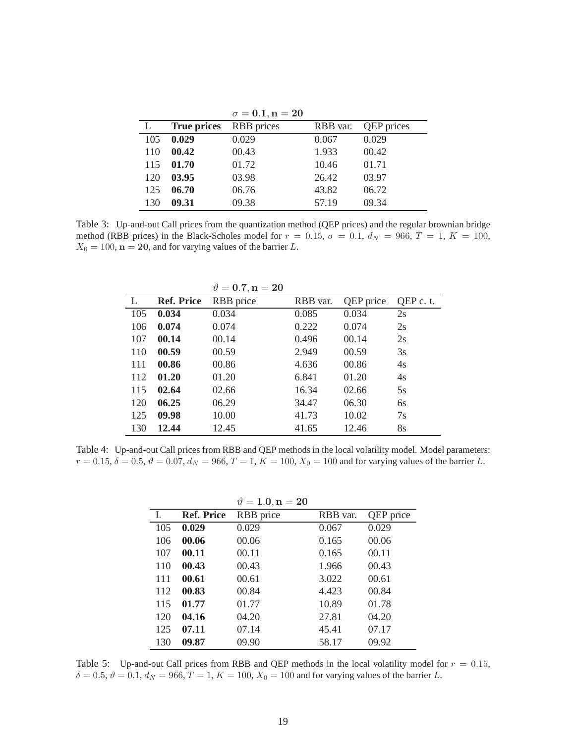|     |                    | $\sigma = 0.1, n = 20$ |          |                   |
|-----|--------------------|------------------------|----------|-------------------|
|     | <b>True prices</b> | <b>RBB</b> prices      | RBB var. | <b>QEP</b> prices |
| 105 | 0.029              | 0.029                  | 0.067    | 0.029             |
| 110 | 00.42              | 00.43                  | 1.933    | 00.42             |
| 115 | 01.70              | 01.72                  | 10.46    | 01.71             |
| 120 | 03.95              | 03.98                  | 26.42    | 03.97             |
| 125 | 06.70              | 06.76                  | 43.82    | 06.72             |
| 130 | 09.31              | 09.38                  | 57.19    | 09.34             |

Table 3: Up-and-out Call prices from the quantization method (QEP prices) and the regular brownian bridge method (RBB prices) in the Black-Scholes model for  $r = 0.15$ ,  $\sigma = 0.1$ ,  $d_N = 966$ ,  $T = 1$ ,  $K = 100$ ,  $X_0 = 100$ ,  $\mathbf{n} = 20$ , and for varying values of the barrier L.

|     |                   | $\vartheta = 0.7, n = 20$ |          |           |           |
|-----|-------------------|---------------------------|----------|-----------|-----------|
| L   | <b>Ref. Price</b> | RBB price                 | RBB var. | QEP price | QEP c. t. |
| 105 | 0.034             | 0.034                     | 0.085    | 0.034     | 2s        |
| 106 | 0.074             | 0.074                     | 0.222    | 0.074     | 2s        |
| 107 | 00.14             | 00.14                     | 0.496    | 00.14     | 2s        |
| 110 | 00.59             | 00.59                     | 2.949    | 00.59     | 3s        |
| 111 | 00.86             | 00.86                     | 4.636    | 00.86     | 4s        |
| 112 | 01.20             | 01.20                     | 6.841    | 01.20     | 4s        |
| 115 | 02.64             | 02.66                     | 16.34    | 02.66     | 5s        |
| 120 | 06.25             | 06.29                     | 34.47    | 06.30     | 6s        |
| 125 | 09.98             | 10.00                     | 41.73    | 10.02     | 7s        |
| 130 | 12.44             | 12.45                     | 41.65    | 12.46     | 8s        |

Table 4: Up-and-out Call prices from RBB and QEP methods in the local volatility model. Model parameters:  $r = 0.15, \delta = 0.5, \vartheta = 0.07, d_N = 966, T = 1, K = 100, X_0 = 100$  and for varying values of the barrier L.

|     |                   | $\vartheta = 1.0, n = 20$ |          |           |
|-----|-------------------|---------------------------|----------|-----------|
| L   | <b>Ref. Price</b> | RBB price                 | RBB var. | QEP price |
| 105 | 0.029             | 0.029                     | 0.067    | 0.029     |
| 106 | 00.06             | 00.06                     | 0.165    | 00.06     |
| 107 | 00.11             | 00.11                     | 0.165    | 00.11     |
| 110 | 00.43             | 00.43                     | 1.966    | 00.43     |
| 111 | 00.61             | 00.61                     | 3.022    | 00.61     |
| 112 | 00.83             | 00.84                     | 4.423    | 00.84     |
| 115 | 01.77             | 01.77                     | 10.89    | 01.78     |
| 120 | 04.16             | 04.20                     | 27.81    | 04.20     |
| 125 | 07.11             | 07.14                     | 45.41    | 07.17     |
| 130 | 09.87             | 09.90                     | 58.17    | 09.92     |

Table 5: Up-and-out Call prices from RBB and QEP methods in the local volatility model for  $r = 0.15$ ,  $\delta = 0.5, \vartheta = 0.1, d_N = 966, T = 1, K = 100, X_0 = 100$  and for varying values of the barrier L.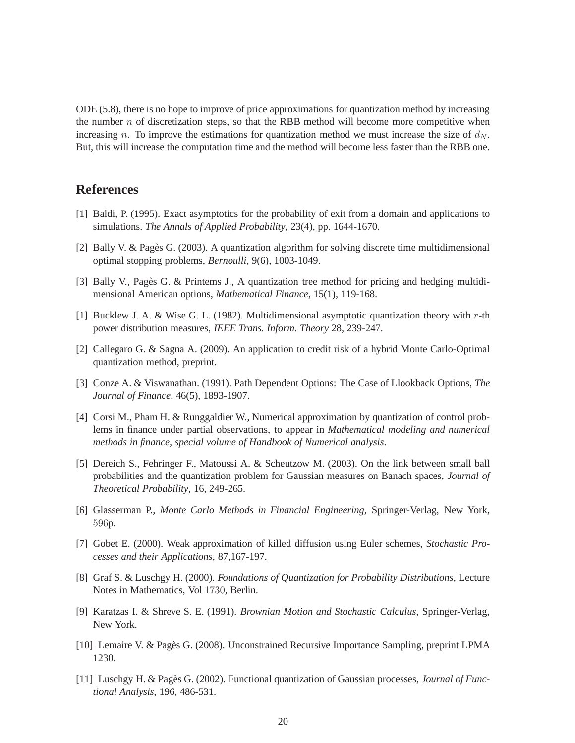ODE (5.8), there is no hope to improve of price approximations for quantization method by increasing the number  $n$  of discretization steps, so that the RBB method will become more competitive when increasing n. To improve the estimations for quantization method we must increase the size of  $d_N$ . But, this will increase the computation time and the method will become less faster than the RBB one.

## **References**

- [1] Baldi, P. (1995). Exact asymptotics for the probability of exit from a domain and applications to simulations. *The Annals of Applied Probability*, 23(4), pp. 1644-1670.
- [2] Bally V. & Pagès G. (2003). A quantization algorithm for solving discrete time multidimensional optimal stopping problems, *Bernoulli*, 9(6), 1003-1049.
- [3] Bally V., Pagès G. & Printems J., A quantization tree method for pricing and hedging multidimensional American options, *Mathematical Finance*, 15(1), 119-168.
- [1] Bucklew J. A. & Wise G. L. (1982). Multidimensional asymptotic quantization theory with r-th power distribution measures, *IEEE Trans. Inform. Theory* 28, 239-247.
- [2] Callegaro G. & Sagna A. (2009). An application to credit risk of a hybrid Monte Carlo-Optimal quantization method, preprint.
- [3] Conze A. & Viswanathan. (1991). Path Dependent Options: The Case of Llookback Options, *The Journal of Finance*, 46(5), 1893-1907.
- [4] Corsi M., Pham H. & Runggaldier W., Numerical approximation by quantization of control problems in finance under partial observations, to appear in *Mathematical modeling and numerical methods in finance, special volume of Handbook of Numerical analysis*.
- [5] Dereich S., Fehringer F., Matoussi A. & Scheutzow M. (2003). On the link between small ball probabilities and the quantization problem for Gaussian measures on Banach spaces, *Journal of Theoretical Probability*, 16, 249-265.
- [6] Glasserman P., *Monte Carlo Methods in Financial Engineering*, Springer-Verlag, New York, 596p.
- [7] Gobet E. (2000). Weak approximation of killed diffusion using Euler schemes, *Stochastic Processes and their Applications*, 87,167-197.
- [8] Graf S. & Luschgy H. (2000). *Foundations of Quantization for Probability Distributions*, Lecture Notes in Mathematics, Vol 1730, Berlin.
- [9] Karatzas I. & Shreve S. E. (1991). *Brownian Motion and Stochastic Calculus*, Springer-Verlag, New York.
- [10] Lemaire V. & Pagès G. (2008). Unconstrained Recursive Importance Sampling, preprint LPMA 1230.
- [11] Luschgy H. & Pagès G. (2002). Functional quantization of Gaussian processes, *Journal of Functional Analysis*, 196, 486-531.